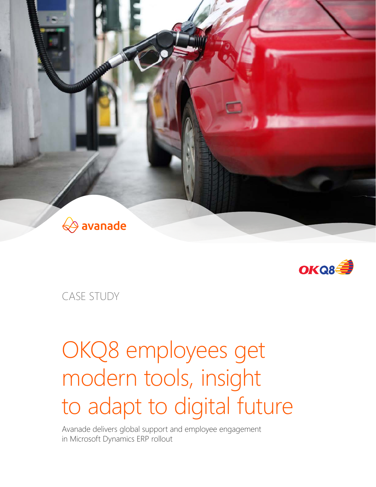



CASE STUDY

# OKQ8 employees get modern tools, insight to adapt to digital future

Avanade delivers global support and employee engagement in Microsoft Dynamics ERP rollout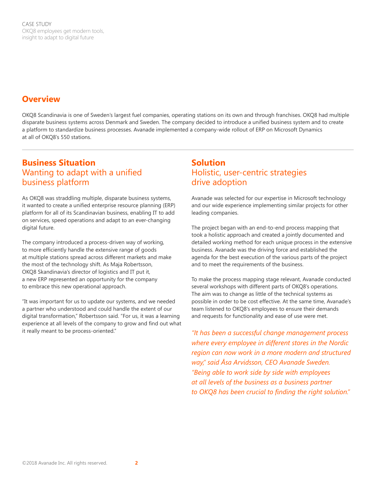CASE STUDY OKQ8 employees get modern tools, insight to adapt to digital future

## **Overview**

OKQ8 Scandinavia is one of Sweden's largest fuel companies, operating stations on its own and through franchises. OKQ8 had multiple disparate business systems across Denmark and Sweden. The company decided to introduce a unified business system and to create a platform to standardize business processes. Avanade implemented a company-wide rollout of ERP on Microsoft Dynamics at all of OKQ8's 550 stations.

## **Business Situation** Wanting to adapt with a unified business platform

As OKQ8 was straddling multiple, disparate business systems, it wanted to create a unified enterprise resource planning (ERP) platform for all of its Scandinavian business, enabling IT to add on services, speed operations and adapt to an ever-changing digital future.

The company introduced a process-driven way of working, to more efficiently handle the extensive range of goods at multiple stations spread across different markets and make the most of the technology shift. As Maja Robertsson, OKQ8 Skandinavia's director of logistics and IT put it, a new ERP represented an opportunity for the company to embrace this new operational approach.

"It was important for us to update our systems, and we needed a partner who understood and could handle the extent of our digital transformation," Robertsson said. "For us, it was a learning experience at all levels of the company to grow and find out what it really meant to be process-oriented."

## **Solution** Holistic, user-centric strategies drive adoption

Avanade was selected for our expertise in Microsoft technology and our wide experience implementing similar projects for other leading companies.

The project began with an end-to-end process mapping that took a holistic approach and created a jointly documented and detailed working method for each unique process in the extensive business. Avanade was the driving force and established the agenda for the best execution of the various parts of the project and to meet the requirements of the business.

To make the process mapping stage relevant, Avanade conducted several workshops with different parts of OKQ8's operations. The aim was to change as little of the technical systems as possible in order to be cost effective. At the same time, Avanade's team listened to OKQ8's employees to ensure their demands and requests for functionality and ease of use were met.

*"It has been a successful change management process where every employee in different stores in the Nordic region can now work in a more modern and structured way," said Åsa Arvidsson, CEO Avanade Sweden. "Being able to work side by side with employees at all levels of the business as a business partner to OKQ8 has been crucial to finding the right solution."*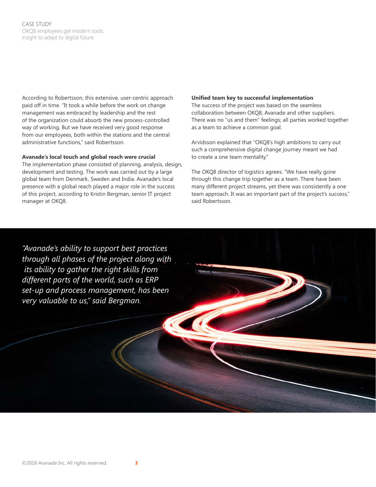According to Robertsson, this extensive, user-centric approach paid off in time. "It took a while before the work on change management was embraced by leadership and the rest of the organization could absorb the new process-controlled way of working. But we have received very good response from our employees, both within the stations and the central administrative functions," said Robertsson.

### **Avanade's local touch and global reach were crucial**

The implementation phase consisted of planning, analysis, design, development and testing. The work was carried out by a large global team from Denmark, Sweden and India. Avanade's local presence with a global reach played a major role in the success of this project, according to Kristin Bergman, senior IT project manager at OKQ8.

## **Unified team key to successful implementation**

The success of the project was based on the seamless collaboration between OKQ8, Avanade and other suppliers. There was no "us and them" feelings; all parties worked together as a team to achieve a common goal.

Arvidsson explained that "OKQ8's high ambitions to carry out such a comprehensive digital change journey meant we had to create a one team mentality."

The OKQ8 director of logistics agrees. "We have really gone through this change trip together as a team. There have been many different project streams, yet there was consistently a one team approach. It was an important part of the project's success," said Robertsson.

*"Avanade's ability to support best practices through all phases of the project along with its ability to gather the right skills from different parts of the world, such as ERP set-up and process management, has been very valuable to us," said Bergman.*